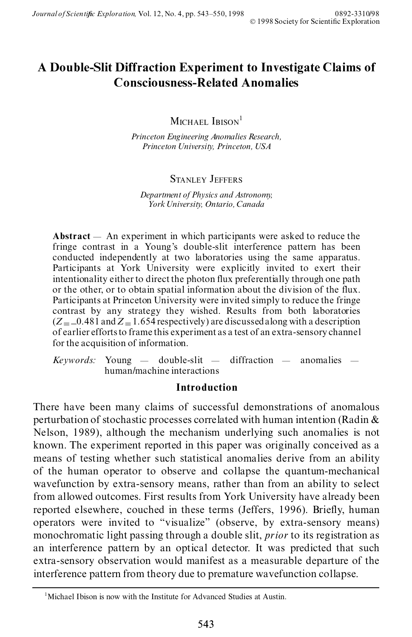# **A Double-Slit Diffraction Experiment to Investigate Claims of Consciousness-Related Anomalies**

MICHAEL IRISON<sup>1</sup>

*Princeton Engineering Anomalies Research, Princeton University, Princeton, USA*

# STANLEY JEFFERS

*Department of Physics and Astronomy, York University, Ontario, Canada*

Abstract — An experiment in which participants were asked to reduce the fringe contrast in a Young's double-slit interference pattern has been conducted independently at two laboratories using the same apparatus. Participants at York University were explicitly invited to exert their intentionality either to direct the photon flux preferentially through one path or the other, or to obtain spatial information about the division of the flux. Participants at Princeton University were invited simply to reduce the fringe contrast by any strategy they wished. Results from both laboratories  $(Z = 0.481$  and  $Z = 1.654$  respectively) are discussed along with a description of earlier efforts to frame this experiment as a test of an extra-sensory channel for the acquisition of information.

 $Keywords: Young = double-slit = different differential$  anomalies  $\overline{\phantom{a}}$ human/machine interactions

# **Introduction**

There have been many claims of successful demonstrations of anomalous perturbation of stochastic processes correlated with human intention (Radin & Nelson, 1989), although the mechanism underlying such anomalies is not known. The experiment reported in this paper was originally conceived as a means of testing whether such statistical anomalies derive from an ability of the human operator to observe and collapse the quantum-mechanical wavefunction by extra-sensory means, rather than from an ability to select from allowed outcomes. First results from York University have already been reported elsewhere, couched in these terms (Jeffers, 1996). Briefly, human operators were invited to "visualize" (observe, by extra-sensory means) monochromatic light passing through a double slit, *prior* to its registration as an interference pattern by an optical detector. It was predicted that such extra-sensory observation would manifest as a measurable departure of the interference pattern from theory due to premature wavefunction collapse.

 $1<sup>1</sup>$  Michael Ibison is now with the Institute for Advanced Studies at Austin.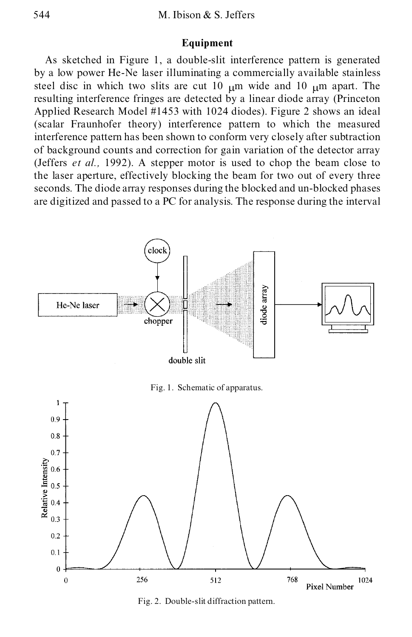# **Equipment**

As sketched in Figure 1, a double-slit interference pattern is generated by a low power He-Ne laser illuminating a commercially available stainless steel disc in which two slits are cut 10  $\mu$ m wide and 10  $\mu$ m apart. The resulting interference fringes are detected by a linear diode array (Princeton Applied Research Model #1453 with 1024 diodes). Figure 2 shows an ideal (scalar Fraunhofer theory) interference pattern to which the measured interference pattern has been shown to conform very closely after subtraction of background counts and correction for gain variation of the detector array (Jeffers *et al.,* 1992). A stepper motor is used to chop the beam close to the laser aperture, effectively blocking the beam for two out of every three seconds. The diode array responses during the blocked and un-blocked phases are digitized and passed to a PC for analysis. The response during the interval



Fig. 2. Double-slit diffraction pattern.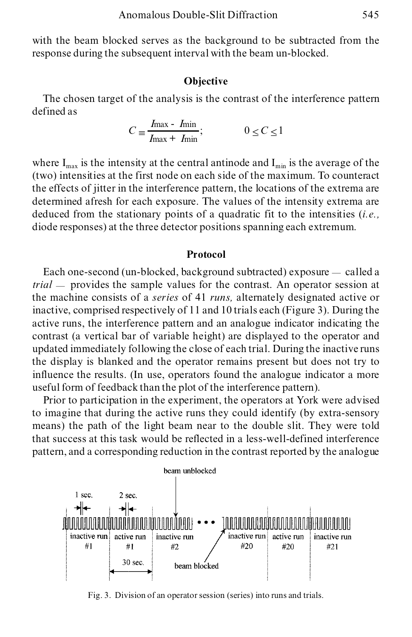with the beam blocked serves as the background to be subtracted from the response during the subsequent interval with the beam un-blocked.

#### **Objective**

The chosen target of the analysis is the contrast of the interference pattern defined as

$$
C \equiv \frac{I_{\text{max}} - I_{\text{min}}}{I_{\text{max}} + I_{\text{min}}}; \qquad 0 \le C \le 1
$$

where  $I_{max}$  is the intensity at the central antinode and  $I_{min}$  is the average of the (two) intensities at the first node on each side of the maximum. To counteract the effects of jitter in the interference pattern, the locations of the extrema are determined afresh for each exposure. The values of the intensity extrema are deduced from the stationary points of a quadratic fit to the intensities (*i.e.,* diode responses) at the three detector positions spanning each extremum.

#### **Protocol**

Each one-second (un-blocked, background subtracted) exposure  $-\text{ called a}$ *trial* — provides the sample values for the contrast. An operator session at the machine consists of a *series* of 41 *runs,* alternately designated active or inactive, comprised respectively of 11 and 10 trials each (Figure 3). During the active runs, the interference pattern and an analogue indicator indicating the contrast (a vertical bar of variable height) are displayed to the operator and updated immediately following the close of each trial. During the inactive runs the display is blanked and the operator remains present but does not try to influence the results. (In use, operators found the analogue indicator a more useful form of feedback than the plot of the interference pattern).

Prior to participation in the experiment, the operators at York were advised to imagine that during the active runs they could identify (by extra-sensory means) the path of the light beam near to the double slit. They were told that success at this task would be reflected in a less-well-defined interference pattern, and a corresponding reduction in the contrast reported by the analogue



Fig. 3. Division of an operator session (series) into runs and trials.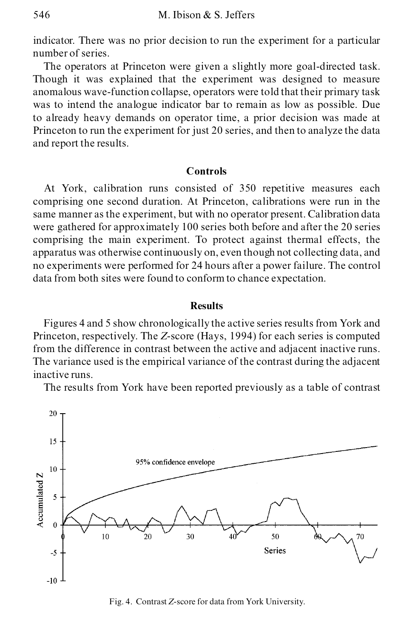indicator. There was no prior decision to run the experiment for a particular number of series.

The operators at Princeton were given a slightly more goal-directed task. Though it was explained that the experiment was designed to measure anomalous wave-function collapse, operators were told that their primary task was to intend the analogue indicator bar to remain as low as possible. Due to already heavy demands on operator time, a prior decision was made at Princeton to run the experiment for just 20 series, and then to analyze the data and report the results.

## **Controls**

At York, calibration runs consisted of 350 repetitive measures each comprising one second duration. At Princeton, calibrations were run in the same manner as the experiment, but with no operator present. Calibration data were gathered for approximately 100 series both before and after the 20 series comprising the main experiment. To protect against thermal effects, the apparatus was otherwise continuously on, even though not collecting data, and no experiments were performed for 24 hours after a power failure. The control data from both sites were found to conform to chance expectation.

## **Results**

Figures 4 and 5 show chronologically the active series results from York and Princeton, respectively. The *Z*-score (Hays, 1994) for each series is computed from the difference in contrast between the active and adjacent inactive runs. The variance used is the empirical variance of the contrast during the adjacent inactive runs.

The results from York have been reported previously as a table of contrast



Fig. 4. Contrast *Z*-score for data from York University.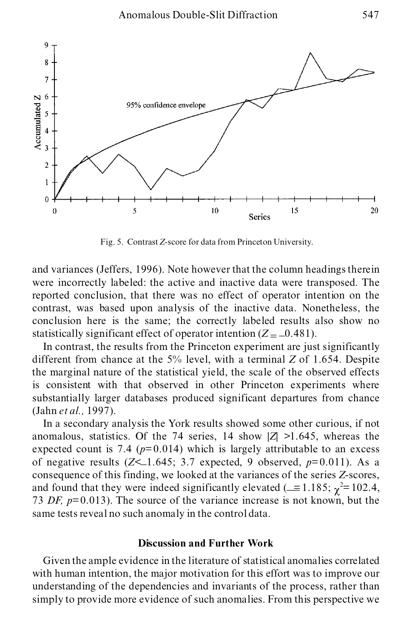

Fig. 5. Contrast *Z*-score for data from Princeton University.

and variances (Jeffers, 1996). Note however that the column headings therein were incorrectly labeled: the active and inactive data were transposed. The reported conclusion, that there was no effect of operator intention on the contrast, was based upon analysis of the inactive data. Nonetheless, the conclusion here is the same; the correctly labeled results also show no statistically significant effect of operator intention  $(Z = -0.481)$ .

In contrast, the results from the Princeton experiment are just significantly different from chance at the 5% level, with a terminal *Z* of 1.654. Despite the marginal nature of the statistical yield, the scale of the observed effects is consistent with that observed in other Princeton experiments where substantially larger databases produced significant departures from chance (Jahn *et al.,* 1997).

In a secondary analysis the York results showed some other curious, if not anomalous, statistics. Of the 74 series, 14 show  $|Z| > 1.645$ , whereas the expected count is 7.4 ( $p=0.014$ ) which is largely attributable to an excess of negative results  $(Z<1.645; 3.7$  expected, 9 observed,  $p=0.011$ ). As a consequence of this finding, we looked at the variances of the series *Z*-scores, and found that they were indeed significantly elevated ( $\equiv$  1.185;  $\chi^2$  = 102.4, 73 *DF, p*= 0.013). The source of the variance increase is not known, but the same tests reveal no such anomaly in the control data.

#### **Discussion and Further Work**

Given the ample evidence in the literature of statistical anomalies correlated with human intention, the major motivation for this effort was to improve our understanding of the dependencies and invariants of the process, rather than simply to provide more evidence of such anomalies. From this perspective we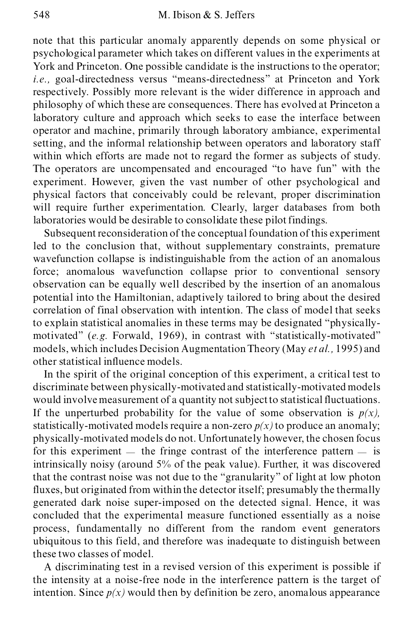note that this particular anomaly apparently depends on some physical or psychological parameter which takes on different values in the experiments at York and Princeton. One possible candidate is the instructions to the operator; *i.e.*, goal-directedness versus "means-directedness" at Princeton and York respectively. Possibly more relevant is the wider difference in approach and philosophy of which these are consequences. There has evolved at Princeton a laboratory culture and approach which seeks to ease the interface between operator and machine, primarily through laboratory ambiance, experimental setting, and the informal relationship between operators and laboratory staff within which efforts are made not to regard the former as subjects of study. The operators are uncompensated and encouraged "to have fun" with the experiment. However, given the vast number of other psychological and physical factors that conceivably could be relevant, proper discrimination will require further experimentation. Clearly, larger databases from both laboratories would be desirable to consolidate these pilot findings.

Subsequent reconsideration of the conceptual foundation of this experiment led to the conclusion that, without supplementary constraints, premature wavefunction collapse is indistinguishable from the action of an anomalous force; anomalous wavefunction collapse prior to conventional sensory observation can be equally well described by the insertion of an anomalous potential into the Hamiltonian, adaptively tailored to bring about the desired correlation of final observation with intention. The class of model that seeks to explain statistical anomalies in these terms may be designated "physicallymotivated" (e.g. Forwald, 1969), in contrast with "statistically-motivated" models, which includes Decision Augmentation Theory (May *et al.,* 1995) and other statistical influence models.

In the spirit of the original conception of this experiment, a critical test to discriminate between physically-motivated and statistically-motivated models would involvemeasurement of a quantity not subject to statistical fluctuations. If the unperturbed probability for the value of some observation is  $p(x)$ , statistically-motivated models require a non-zero  $p(x)$  to produce an anomaly; physically-motivated models do not. Unfortunately however, the chosen focus for this experiment  $\overline{\phantom{a}}$  the fringe contrast of the interference pattern  $\overline{\phantom{a}}$  is intrinsically noisy (around 5% of the peak value). Further, it was discovered that the contrast noise was not due to the "granularity" of light at low photon fluxes, but originated from within the detector itself; presumably the thermally generated dark noise super-imposed on the detected signal. Hence, it was concluded that the experimental measure functioned essentially as a noise process, fundamentally no different from the random event generators ubiquitous to this field, and therefore was inadequate to distinguish between these two classes of model.

A discriminating test in a revised version of this experiment is possible if the intensity at a noise-free node in the interference pattern is the target of intention. Since  $p(x)$  would then by definition be zero, anomalous appearance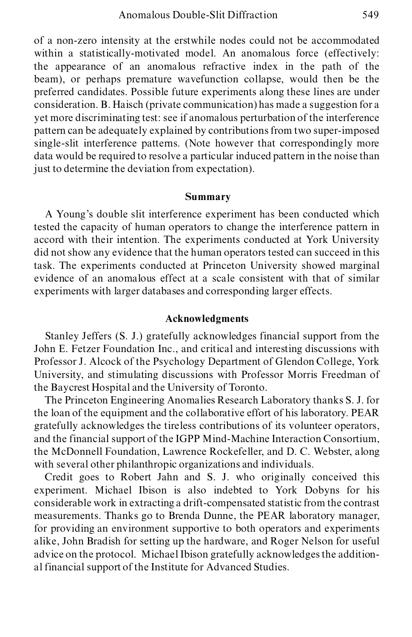of a non-zero intensity at the erstwhile nodes could not be accommodated within a statistically-motivated model. An anomalous force (effectively: the appearance of an anomalous refractive index in the path of the beam), or perhaps premature wavefunction collapse, would then be the preferred candidates. Possible future experiments along these lines are under consideration. B. Haisch (private communication) has made a suggestion for a yet more discriminating test: see if anomalous perturbation of the interference pattern can be adequately explained by contributions from two super-imposed single-slit interference patterns. (Note however that correspondingly more data would be required to resolve a particular induced pattern in the noise than just to determine the deviation from expectation).

#### **Summary**

A Young's double slit interference experiment has been conducted which tested the capacity of human operators to change the interference pattern in accord with their intention. The experiments conducted at York University did not show any evidence that the human operators tested can succeed in this task. The experiments conducted at Princeton University showed marginal evidence of an anomalous effect at a scale consistent with that of similar experiments with larger databases and corresponding larger effects.

## **Acknowledgments**

Stanley Jeffers (S. J.) gratefully acknowledges financial support from the John E. Fetzer Foundation Inc., and critical and interesting discussions with Professor J. Alcock of the Psychology Department of Glendon College, York University, and stimulating discussions with Professor Morris Freedman of the Baycrest Hospital and the University of Toronto.

The Princeton Engineering Anomalies Research Laboratory thanks S. J. for the loan of the equipment and the collaborative effort of his laboratory. PEAR gratefully acknowledges the tireless contributions of its volunteer operators, and the financial support of the IGPP Mind-Machine Interaction Consortium, the McDonnell Foundation, Lawrence Rockefeller, and D. C. Webster, along with several other philanthropic organizations and individuals.

Credit goes to Robert Jahn and S. J. who originally conceived this experiment. Michael Ibison is also indebted to York Dobyns for his considerable work in extracting a drift-compensated statistic from the contrast measurements. Thanks go to Brenda Dunne, the PEAR laboratory manager, for providing an environment supportive to both operators and experiments alike, John Bradish for setting up the hardware, and Roger Nelson for useful advice on the protocol. Michael Ibison gratefully acknowledges the additional financial support of the Institute for Advanced Studies.